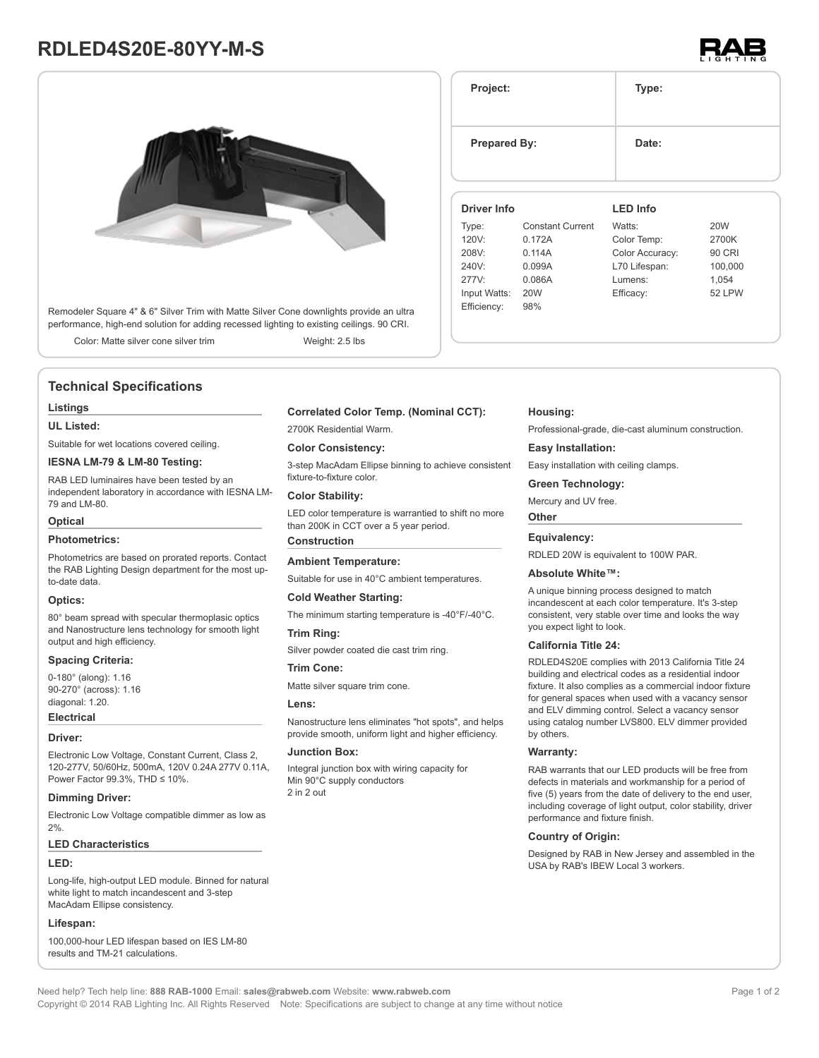# **RDLED4S20E-80YY-M-S**



Remodeler Square 4" & 6" Silver Trim with Matte Silver Cone downlights provide an ultra performance, high-end solution for adding recessed lighting to existing ceilings. 90 CRI.

Color: Matte silver cone silver trim Weight: 2.5 lbs

## **Technical Specifications**

#### **Listings**

### **UL Listed:**

Suitable for wet locations covered ceiling.

## **IESNA LM-79 & LM-80 Testing:**

RAB LED luminaires have been tested by an independent laboratory in accordance with IESNA LM-79 and LM-80.

#### **Optical**

#### **Photometrics:**

Photometrics are based on prorated reports. Contact the RAB Lighting Design department for the most upto-date data.

#### **Optics:**

80° beam spread with specular thermoplasic optics and Nanostructure lens technology for smooth light output and high efficiency.

## **Spacing Criteria:**

0-180° (along): 1.16 90-270° (across): 1.16 diagonal: 1.20.

## **Electrical**

#### **Driver:**

Electronic Low Voltage, Constant Current, Class 2, 120-277V, 50/60Hz, 500mA, 120V 0.24A 277V 0.11A, Power Factor 99.3%, THD ≤ 10%.

#### **Dimming Driver:**

Electronic Low Voltage compatible dimmer as low as 2%.

#### **LED Characteristics**

#### **LED:**

Long-life, high-output LED module. Binned for natural white light to match incandescent and 3-step MacAdam Ellipse consistency.

## **Lifespan:**

100,000-hour LED lifespan based on IES LM-80 results and TM-21 calculations.

#### **Correlated Color Temp. (Nominal CCT):**

2700K Residential Warm.

#### **Color Consistency:**

3-step MacAdam Ellipse binning to achieve consistent fixture-to-fixture color.

#### **Color Stability:**

LED color temperature is warrantied to shift no more than 200K in CCT over a 5 year period.

## **Construction**

## **Ambient Temperature:**

Suitable for use in 40°C ambient temperatures.

#### **Cold Weather Starting:**

The minimum starting temperature is -40°F/-40°C.

#### **Trim Ring:**

Silver powder coated die cast trim ring.

#### **Trim Cone:**

Matte silver square trim cone.

#### **Lens:**

Nanostructure lens eliminates "hot spots", and helps provide smooth, uniform light and higher efficiency.

#### **Junction Box:**

Integral junction box with wiring capacity for Min 90°C supply conductors 2 in 2 out

#### **Housing:**

Professional-grade, die-cast aluminum construction.

#### **Easy Installation:**

Easy installation with ceiling clamps.

#### **Green Technology:**

Mercury and UV free.

#### **Other**

#### **Equivalency:**

RDLED 20W is equivalent to 100W PAR.

## **Absolute White™:**

A unique binning process designed to match incandescent at each color temperature. It's 3-step consistent, very stable over time and looks the way you expect light to look.

#### **California Title 24:**

RDLED4S20E complies with 2013 California Title 24 building and electrical codes as a residential indoor fixture. It also complies as a commercial indoor fixture for general spaces when used with a vacancy sensor and ELV dimming control. Select a vacancy sensor using catalog number LVS800. ELV dimmer provided by others.

#### **Warranty:**

RAB warrants that our LED products will be free from defects in materials and workmanship for a period of five (5) years from the date of delivery to the end user, including coverage of light output, color stability, driver performance and fixture finish.

## **Country of Origin:**

Designed by RAB in New Jersey and assembled in the USA by RAB's IBEW Local 3 workers.



| Project:            |                         | Type:           |               |  |
|---------------------|-------------------------|-----------------|---------------|--|
| <b>Prepared By:</b> |                         | Date:           |               |  |
| <b>Driver Info</b>  |                         | <b>LED Info</b> |               |  |
| Type:               | <b>Constant Current</b> | Watts:          | <b>20W</b>    |  |
| 120V:               | 0.172A                  | Color Temp:     | 2700K         |  |
| 208V:               | 0.114A                  | Color Accuracy: | <b>90 CRI</b> |  |
| 240V:               | 0.099A                  | L70 Lifespan:   | 100,000       |  |
| 277V:               | 0.086A                  | Lumens:         | 1,054         |  |
| Input Watts:        | <b>20W</b>              | Efficacy:       | 52 LPW        |  |
| Efficiency:         | 98%                     |                 |               |  |